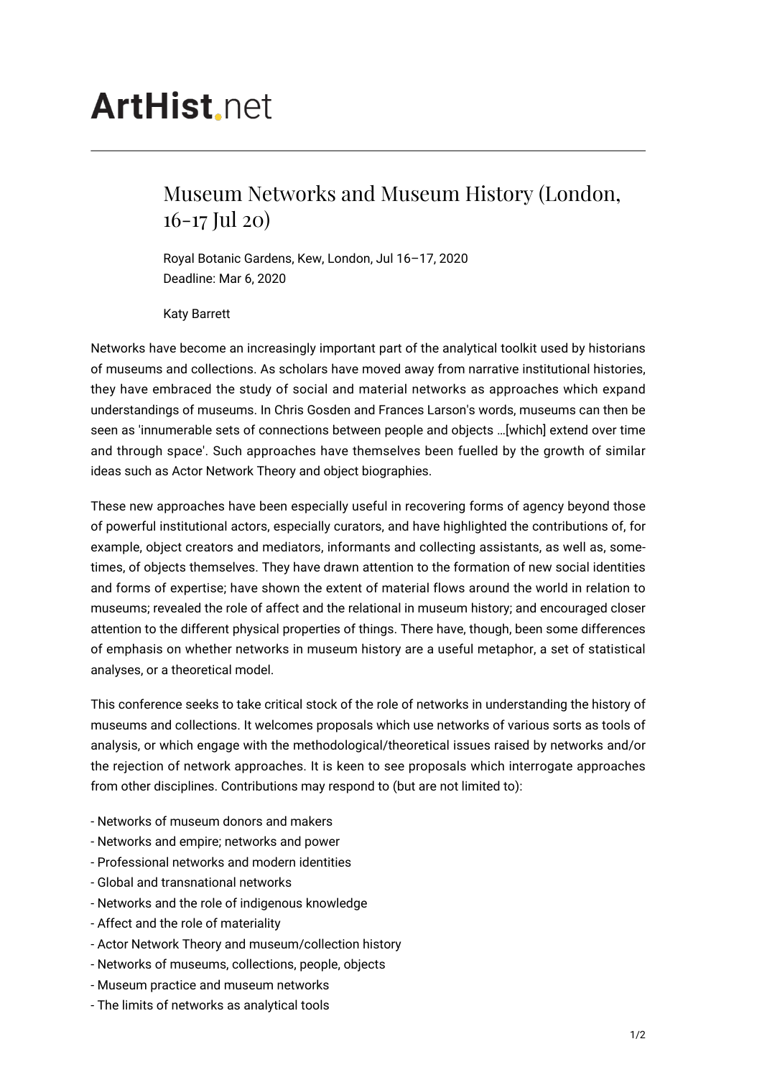## **ArtHist.net**

## Museum Networks and Museum History (London, 16-17 Jul 20)

Royal Botanic Gardens, Kew, London, Jul 16–17, 2020 Deadline: Mar 6, 2020

Katy Barrett

Networks have become an increasingly important part of the analytical toolkit used by historians of museums and collections. As scholars have moved away from narrative institutional histories, they have embraced the study of social and material networks as approaches which expand understandings of museums. In Chris Gosden and Frances Larson's words, museums can then be seen as 'innumerable sets of connections between people and objects …[which] extend over time and through space'. Such approaches have themselves been fuelled by the growth of similar ideas such as Actor Network Theory and object biographies.

These new approaches have been especially useful in recovering forms of agency beyond those of powerful institutional actors, especially curators, and have highlighted the contributions of, for example, object creators and mediators, informants and collecting assistants, as well as, sometimes, of objects themselves. They have drawn attention to the formation of new social identities and forms of expertise; have shown the extent of material flows around the world in relation to museums; revealed the role of affect and the relational in museum history; and encouraged closer attention to the different physical properties of things. There have, though, been some differences of emphasis on whether networks in museum history are a useful metaphor, a set of statistical analyses, or a theoretical model.

This conference seeks to take critical stock of the role of networks in understanding the history of museums and collections. It welcomes proposals which use networks of various sorts as tools of analysis, or which engage with the methodological/theoretical issues raised by networks and/or the rejection of network approaches. It is keen to see proposals which interrogate approaches from other disciplines. Contributions may respond to (but are not limited to):

- Networks of museum donors and makers
- Networks and empire; networks and power
- Professional networks and modern identities
- Global and transnational networks
- Networks and the role of indigenous knowledge
- Affect and the role of materiality
- Actor Network Theory and museum/collection history
- Networks of museums, collections, people, objects
- Museum practice and museum networks
- The limits of networks as analytical tools